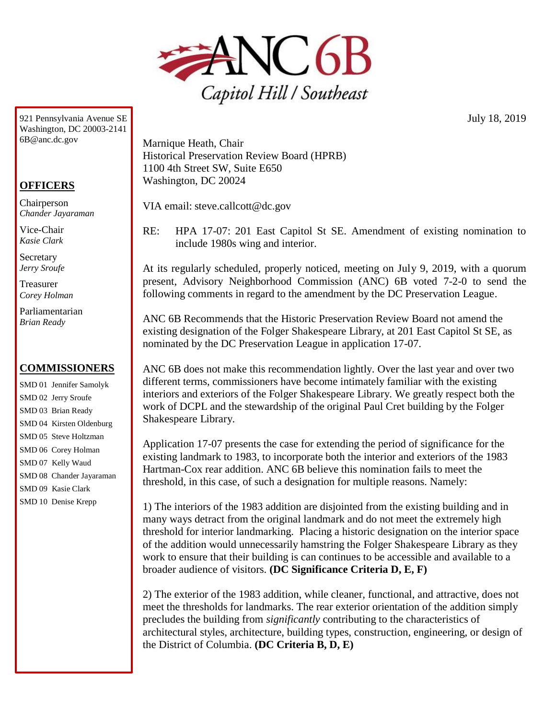

921 Pennsylvania Avenue SE Washington, DC 20003-2141 6B@anc.dc.gov

## **OFFICERS**

Chairperson *Chander Jayaraman*

Vice-Chair *Kasie Clark*

**Secretary** *Jerry Sroufe*

Treasurer *Corey Holman*

Parliamentarian *Brian Ready*

## **COMMISSIONERS**

SMD 01 Jennifer Samolyk SMD 02 Jerry Sroufe SMD 03 Brian Ready SMD 04 Kirsten Oldenburg SMD 05 Steve Holtzman SMD 06 Corey Holman SMD 07 Kelly Waud SMD 08 Chander Jayaraman SMD 09 Kasie Clark SMD 10 Denise Krepp

Marnique Heath, Chair Historical Preservation Review Board (HPRB) 1100 4th Street SW, Suite E650 Washington, DC 20024

VIA email: steve.callcott@dc.gov

RE: HPA 17-07: 201 East Capitol St SE. Amendment of existing nomination to include 1980s wing and interior.

At its regularly scheduled, properly noticed, meeting on July 9, 2019, with a quorum present, Advisory Neighborhood Commission (ANC) 6B voted 7-2-0 to send the following comments in regard to the amendment by the DC Preservation League.

ANC 6B Recommends that the Historic Preservation Review Board not amend the existing designation of the Folger Shakespeare Library, at 201 East Capitol St SE, as nominated by the DC Preservation League in application 17-07.

ANC 6B does not make this recommendation lightly. Over the last year and over two different terms, commissioners have become intimately familiar with the existing interiors and exteriors of the Folger Shakespeare Library. We greatly respect both the work of DCPL and the stewardship of the original Paul Cret building by the Folger Shakespeare Library.

Application 17-07 presents the case for extending the period of significance for the existing landmark to 1983, to incorporate both the interior and exteriors of the 1983 Hartman-Cox rear addition. ANC 6B believe this nomination fails to meet the threshold, in this case, of such a designation for multiple reasons. Namely:

1) The interiors of the 1983 addition are disjointed from the existing building and in many ways detract from the original landmark and do not meet the extremely high threshold for interior landmarking. Placing a historic designation on the interior space of the addition would unnecessarily hamstring the Folger Shakespeare Library as they work to ensure that their building is can continues to be accessible and available to a broader audience of visitors. **(DC Significance Criteria D, E, F)**

2) The exterior of the 1983 addition, while cleaner, functional, and attractive, does not meet the thresholds for landmarks. The rear exterior orientation of the addition simply precludes the building from *significantly* contributing to the characteristics of architectural styles, architecture, building types, construction, engineering, or design of the District of Columbia. **(DC Criteria B, D, E)**

July 18, 2019